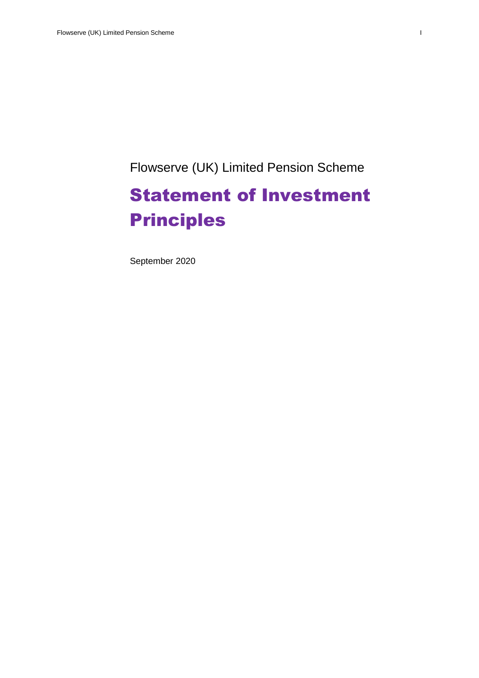Flowserve (UK) Limited Pension Scheme

# Statement of Investment Principles

September 2020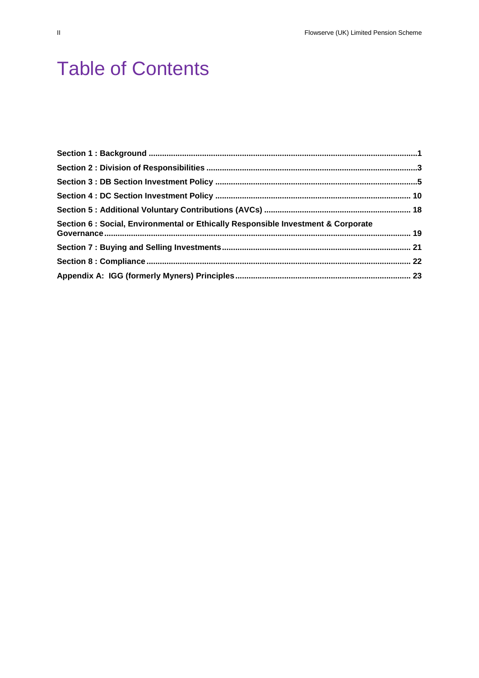# Table of Contents

| Section 6 : Social, Environmental or Ethically Responsible Investment & Corporate |  |
|-----------------------------------------------------------------------------------|--|
|                                                                                   |  |
|                                                                                   |  |
|                                                                                   |  |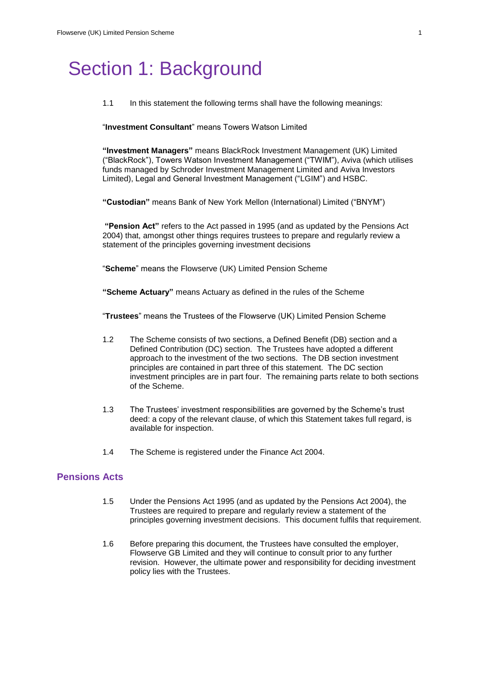## Section 1: Background

1.1 In this statement the following terms shall have the following meanings:

"**Investment Consultant**" means Towers Watson Limited

**"Investment Managers"** means BlackRock Investment Management (UK) Limited ("BlackRock"), Towers Watson Investment Management ("TWIM"), Aviva (which utilises funds managed by Schroder Investment Management Limited and Aviva Investors Limited), Legal and General Investment Management ("LGIM") and HSBC.

**"Custodian"** means Bank of New York Mellon (International) Limited ("BNYM")

**"Pension Act"** refers to the Act passed in 1995 (and as updated by the Pensions Act 2004) that, amongst other things requires trustees to prepare and regularly review a statement of the principles governing investment decisions

"**Scheme**" means the Flowserve (UK) Limited Pension Scheme

**"Scheme Actuary"** means Actuary as defined in the rules of the Scheme

"**Trustees**" means the Trustees of the Flowserve (UK) Limited Pension Scheme

- 1.2 The Scheme consists of two sections, a Defined Benefit (DB) section and a Defined Contribution (DC) section. The Trustees have adopted a different approach to the investment of the two sections. The DB section investment principles are contained in part three of this statement. The DC section investment principles are in part four. The remaining parts relate to both sections of the Scheme.
- 1.3 The Trustees' investment responsibilities are governed by the Scheme's trust deed: a copy of the relevant clause, of which this Statement takes full regard, is available for inspection.
- 1.4 The Scheme is registered under the Finance Act 2004.

## **Pensions Acts**

- 1.5 Under the Pensions Act 1995 (and as updated by the Pensions Act 2004), the Trustees are required to prepare and regularly review a statement of the principles governing investment decisions. This document fulfils that requirement.
- 1.6 Before preparing this document, the Trustees have consulted the employer, Flowserve GB Limited and they will continue to consult prior to any further revision. However, the ultimate power and responsibility for deciding investment policy lies with the Trustees.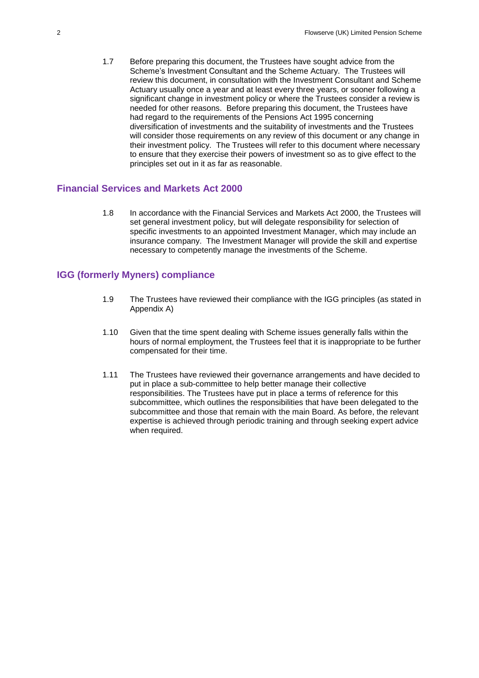1.7 Before preparing this document, the Trustees have sought advice from the Scheme's Investment Consultant and the Scheme Actuary. The Trustees will review this document, in consultation with the Investment Consultant and Scheme Actuary usually once a year and at least every three years, or sooner following a significant change in investment policy or where the Trustees consider a review is needed for other reasons. Before preparing this document, the Trustees have had regard to the requirements of the Pensions Act 1995 concerning diversification of investments and the suitability of investments and the Trustees will consider those requirements on any review of this document or any change in their investment policy. The Trustees will refer to this document where necessary to ensure that they exercise their powers of investment so as to give effect to the principles set out in it as far as reasonable.

### **Financial Services and Markets Act 2000**

1.8 In accordance with the Financial Services and Markets Act 2000, the Trustees will set general investment policy, but will delegate responsibility for selection of specific investments to an appointed Investment Manager, which may include an insurance company. The Investment Manager will provide the skill and expertise necessary to competently manage the investments of the Scheme.

## **IGG (formerly Myners) compliance**

- 1.9 The Trustees have reviewed their compliance with the IGG principles (as stated in Appendix A)
- 1.10 Given that the time spent dealing with Scheme issues generally falls within the hours of normal employment, the Trustees feel that it is inappropriate to be further compensated for their time.
- 1.11 The Trustees have reviewed their governance arrangements and have decided to put in place a sub-committee to help better manage their collective responsibilities. The Trustees have put in place a terms of reference for this subcommittee, which outlines the responsibilities that have been delegated to the subcommittee and those that remain with the main Board. As before, the relevant expertise is achieved through periodic training and through seeking expert advice when required.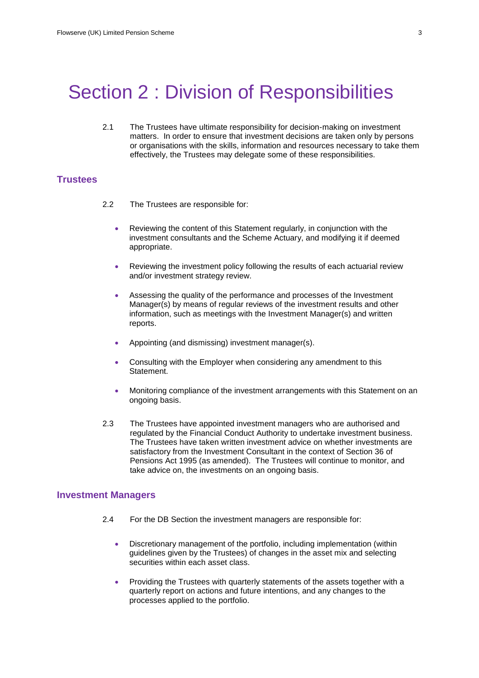## Section 2 : Division of Responsibilities

2.1 The Trustees have ultimate responsibility for decision-making on investment matters. In order to ensure that investment decisions are taken only by persons or organisations with the skills, information and resources necessary to take them effectively, the Trustees may delegate some of these responsibilities.

### **Trustees**

- 2.2 The Trustees are responsible for:
	- Reviewing the content of this Statement regularly, in conjunction with the investment consultants and the Scheme Actuary, and modifying it if deemed appropriate.
	- Reviewing the investment policy following the results of each actuarial review and/or investment strategy review.
	- Assessing the quality of the performance and processes of the Investment Manager(s) by means of regular reviews of the investment results and other information, such as meetings with the Investment Manager(s) and written reports.
	- Appointing (and dismissing) investment manager(s).
	- Consulting with the Employer when considering any amendment to this Statement.
	- Monitoring compliance of the investment arrangements with this Statement on an ongoing basis.
- 2.3 The Trustees have appointed investment managers who are authorised and regulated by the Financial Conduct Authority to undertake investment business. The Trustees have taken written investment advice on whether investments are satisfactory from the Investment Consultant in the context of Section 36 of Pensions Act 1995 (as amended). The Trustees will continue to monitor, and take advice on, the investments on an ongoing basis.

#### **Investment Managers**

- 2.4 For the DB Section the investment managers are responsible for:
	- Discretionary management of the portfolio, including implementation (within guidelines given by the Trustees) of changes in the asset mix and selecting securities within each asset class.
	- Providing the Trustees with quarterly statements of the assets together with a quarterly report on actions and future intentions, and any changes to the processes applied to the portfolio.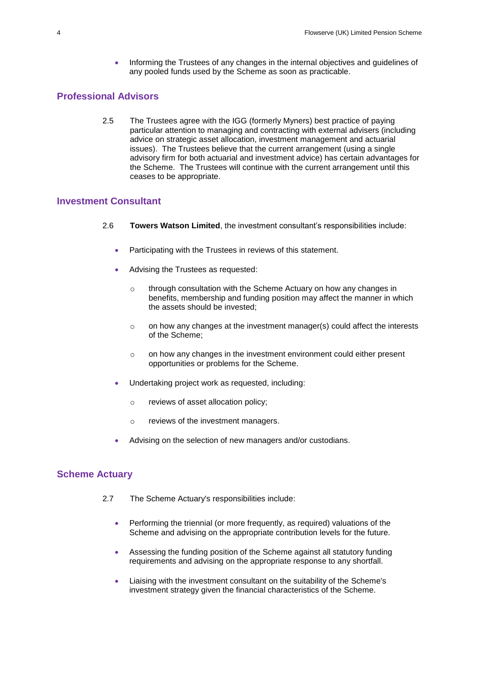• Informing the Trustees of any changes in the internal objectives and guidelines of any pooled funds used by the Scheme as soon as practicable.

## **Professional Advisors**

2.5 The Trustees agree with the IGG (formerly Myners) best practice of paying particular attention to managing and contracting with external advisers (including advice on strategic asset allocation, investment management and actuarial issues). The Trustees believe that the current arrangement (using a single advisory firm for both actuarial and investment advice) has certain advantages for the Scheme. The Trustees will continue with the current arrangement until this ceases to be appropriate.

## **Investment Consultant**

- 2.6 **Towers Watson Limited**, the investment consultant's responsibilities include:
	- Participating with the Trustees in reviews of this statement.
	- Advising the Trustees as requested:
		- o through consultation with the Scheme Actuary on how any changes in benefits, membership and funding position may affect the manner in which the assets should be invested;
		- $\circ$  on how any changes at the investment manager(s) could affect the interests of the Scheme;
		- o on how any changes in the investment environment could either present opportunities or problems for the Scheme.
	- Undertaking project work as requested, including:
		- o reviews of asset allocation policy;
		- o reviews of the investment managers.
	- Advising on the selection of new managers and/or custodians.

### **Scheme Actuary**

- 2.7 The Scheme Actuary's responsibilities include:
	- Performing the triennial (or more frequently, as required) valuations of the Scheme and advising on the appropriate contribution levels for the future.
	- Assessing the funding position of the Scheme against all statutory funding requirements and advising on the appropriate response to any shortfall.
	- Liaising with the investment consultant on the suitability of the Scheme's investment strategy given the financial characteristics of the Scheme.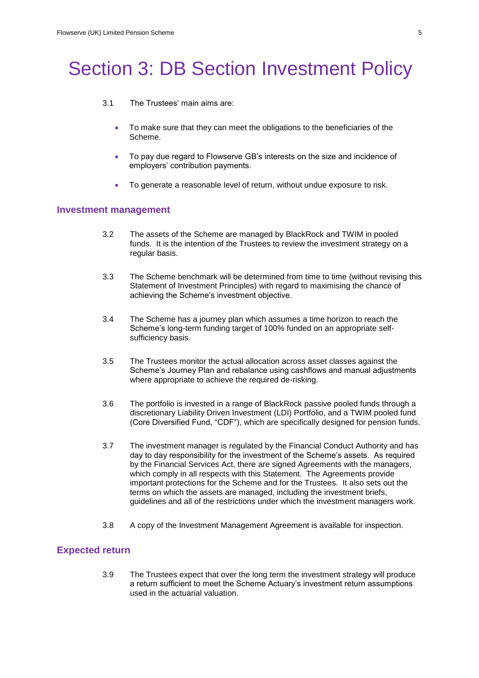# Section 3: DB Section Investment Policy

- 3.1 The Trustees' main aims are:
	- To make sure that they can meet the obligations to the beneficiaries of the Scheme.
	- To pay due regard to Flowserve GB's interests on the size and incidence of employers' contribution payments.
	- To generate a reasonable level of return, without undue exposure to risk.

#### **Investment management**

- 3.2 The assets of the Scheme are managed by BlackRock and TWIM in pooled funds. It is the intention of the Trustees to review the investment strategy on a regular basis.
- 3.3 The Scheme benchmark will be determined from time to time (without revising this Statement of Investment Principles) with regard to maximising the chance of achieving the Scheme's investment objective.
- 3.4 The Scheme has a journey plan which assumes a time horizon to reach the Scheme's long-term funding target of 100% funded on an appropriate selfsufficiency basis.
- 3.5 The Trustees monitor the actual allocation across asset classes against the Scheme's Journey Plan and rebalance using cashflows and manual adjustments where appropriate to achieve the required de-risking.
- 3.6 The portfolio is invested in a range of BlackRock passive pooled funds through a discretionary Liability Driven Investment (LDI) Portfolio, and a TWIM pooled fund (Core Diversified Fund, "CDF"), which are specifically designed for pension funds.
- 3.7 The investment manager is regulated by the Financial Conduct Authority and has day to day responsibility for the investment of the Scheme's assets. As required by the Financial Services Act, there are signed Agreements with the managers, which comply in all respects with this Statement. The Agreements provide important protections for the Scheme and for the Trustees. It also sets out the terms on which the assets are managed, including the investment briefs, guidelines and all of the restrictions under which the investment managers work.
- 3.8 A copy of the Investment Management Agreement is available for inspection.

## **Expected return**

3.9 The Trustees expect that over the long term the investment strategy will produce a return sufficient to meet the Scheme Actuary's investment return assumptions used in the actuarial valuation.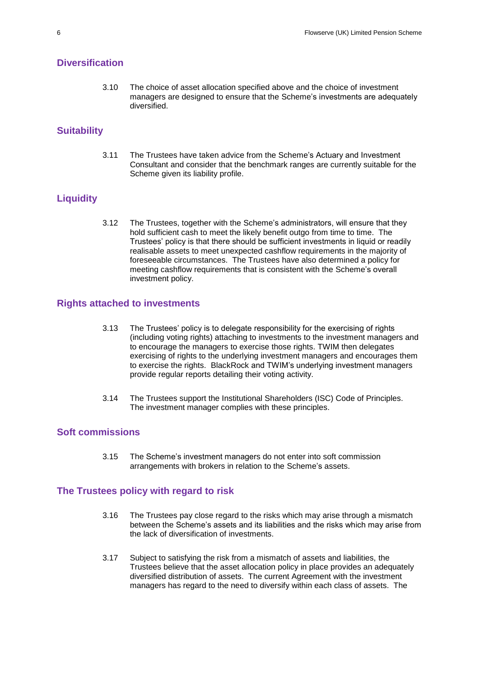## **Diversification**

3.10 The choice of asset allocation specified above and the choice of investment managers are designed to ensure that the Scheme's investments are adequately diversified.

## **Suitability**

3.11 The Trustees have taken advice from the Scheme's Actuary and Investment Consultant and consider that the benchmark ranges are currently suitable for the Scheme given its liability profile.

## **Liquidity**

3.12 The Trustees, together with the Scheme's administrators, will ensure that they hold sufficient cash to meet the likely benefit outgo from time to time. The Trustees' policy is that there should be sufficient investments in liquid or readily realisable assets to meet unexpected cashflow requirements in the majority of foreseeable circumstances. The Trustees have also determined a policy for meeting cashflow requirements that is consistent with the Scheme's overall investment policy.

## **Rights attached to investments**

- 3.13 The Trustees' policy is to delegate responsibility for the exercising of rights (including voting rights) attaching to investments to the investment managers and to encourage the managers to exercise those rights. TWIM then delegates exercising of rights to the underlying investment managers and encourages them to exercise the rights. BlackRock and TWIM's underlying investment managers provide regular reports detailing their voting activity.
- 3.14 The Trustees support the Institutional Shareholders (ISC) Code of Principles. The investment manager complies with these principles.

#### **Soft commissions**

3.15 The Scheme's investment managers do not enter into soft commission arrangements with brokers in relation to the Scheme's assets.

#### **The Trustees policy with regard to risk**

- 3.16 The Trustees pay close regard to the risks which may arise through a mismatch between the Scheme's assets and its liabilities and the risks which may arise from the lack of diversification of investments.
- 3.17 Subject to satisfying the risk from a mismatch of assets and liabilities, the Trustees believe that the asset allocation policy in place provides an adequately diversified distribution of assets. The current Agreement with the investment managers has regard to the need to diversify within each class of assets. The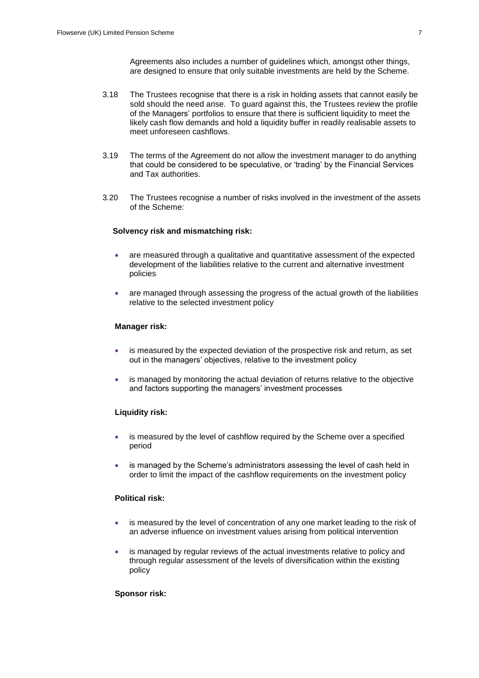Agreements also includes a number of guidelines which, amongst other things, are designed to ensure that only suitable investments are held by the Scheme.

- 3.18 The Trustees recognise that there is a risk in holding assets that cannot easily be sold should the need arise. To guard against this, the Trustees review the profile of the Managers' portfolios to ensure that there is sufficient liquidity to meet the likely cash flow demands and hold a liquidity buffer in readily realisable assets to meet unforeseen cashflows.
- 3.19 The terms of the Agreement do not allow the investment manager to do anything that could be considered to be speculative, or 'trading' by the Financial Services and Tax authorities.
- 3.20 The Trustees recognise a number of risks involved in the investment of the assets of the Scheme:

#### **Solvency risk and mismatching risk:**

- are measured through a qualitative and quantitative assessment of the expected development of the liabilities relative to the current and alternative investment policies
- are managed through assessing the progress of the actual growth of the liabilities relative to the selected investment policy

#### **Manager risk:**

- is measured by the expected deviation of the prospective risk and return, as set out in the managers' objectives, relative to the investment policy
- is managed by monitoring the actual deviation of returns relative to the objective and factors supporting the managers' investment processes

#### **Liquidity risk:**

- is measured by the level of cashflow required by the Scheme over a specified period
- is managed by the Scheme's administrators assessing the level of cash held in order to limit the impact of the cashflow requirements on the investment policy

### **Political risk:**

- is measured by the level of concentration of any one market leading to the risk of an adverse influence on investment values arising from political intervention
- is managed by regular reviews of the actual investments relative to policy and through regular assessment of the levels of diversification within the existing policy

#### **Sponsor risk:**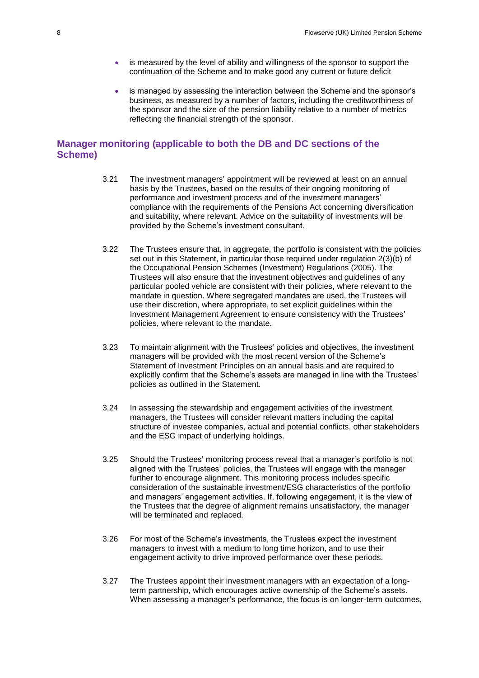- is measured by the level of ability and willingness of the sponsor to support the continuation of the Scheme and to make good any current or future deficit
- is managed by assessing the interaction between the Scheme and the sponsor's business, as measured by a number of factors, including the creditworthiness of the sponsor and the size of the pension liability relative to a number of metrics reflecting the financial strength of the sponsor.

## **Manager monitoring (applicable to both the DB and DC sections of the Scheme)**

- 3.21 The investment managers' appointment will be reviewed at least on an annual basis by the Trustees, based on the results of their ongoing monitoring of performance and investment process and of the investment managers' compliance with the requirements of the Pensions Act concerning diversification and suitability, where relevant. Advice on the suitability of investments will be provided by the Scheme's investment consultant.
- 3.22 The Trustees ensure that, in aggregate, the portfolio is consistent with the policies set out in this Statement, in particular those required under regulation 2(3)(b) of the Occupational Pension Schemes (Investment) Regulations (2005). The Trustees will also ensure that the investment objectives and guidelines of any particular pooled vehicle are consistent with their policies, where relevant to the mandate in question. Where segregated mandates are used, the Trustees will use their discretion, where appropriate, to set explicit guidelines within the Investment Management Agreement to ensure consistency with the Trustees' policies, where relevant to the mandate.
- 3.23 To maintain alignment with the Trustees' policies and objectives, the investment managers will be provided with the most recent version of the Scheme's Statement of Investment Principles on an annual basis and are required to explicitly confirm that the Scheme's assets are managed in line with the Trustees' policies as outlined in the Statement.
- 3.24 In assessing the stewardship and engagement activities of the investment managers, the Trustees will consider relevant matters including the capital structure of investee companies, actual and potential conflicts, other stakeholders and the ESG impact of underlying holdings.
- 3.25 Should the Trustees' monitoring process reveal that a manager's portfolio is not aligned with the Trustees' policies, the Trustees will engage with the manager further to encourage alignment. This monitoring process includes specific consideration of the sustainable investment/ESG characteristics of the portfolio and managers' engagement activities. If, following engagement, it is the view of the Trustees that the degree of alignment remains unsatisfactory, the manager will be terminated and replaced.
- 3.26 For most of the Scheme's investments, the Trustees expect the investment managers to invest with a medium to long time horizon, and to use their engagement activity to drive improved performance over these periods.
- 3.27 The Trustees appoint their investment managers with an expectation of a longterm partnership, which encourages active ownership of the Scheme's assets. When assessing a manager's performance, the focus is on longer-term outcomes,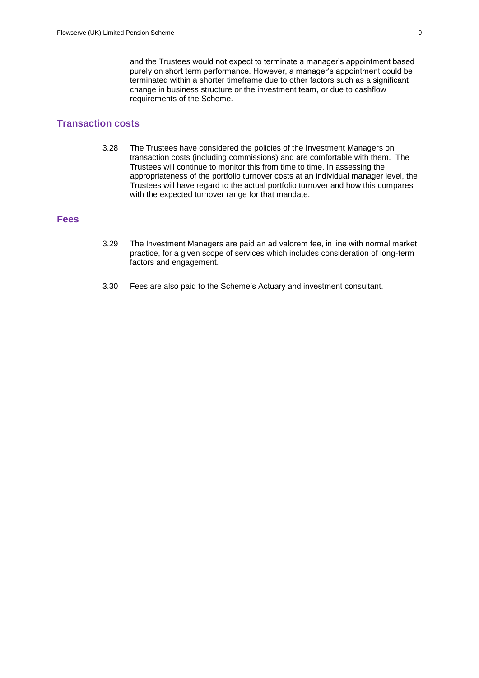and the Trustees would not expect to terminate a manager's appointment based purely on short term performance. However, a manager's appointment could be terminated within a shorter timeframe due to other factors such as a significant change in business structure or the investment team, or due to cashflow requirements of the Scheme.

## **Transaction costs**

3.28 The Trustees have considered the policies of the Investment Managers on transaction costs (including commissions) and are comfortable with them. The Trustees will continue to monitor this from time to time. In assessing the appropriateness of the portfolio turnover costs at an individual manager level, the Trustees will have regard to the actual portfolio turnover and how this compares with the expected turnover range for that mandate.

## **Fees**

- 3.29 The Investment Managers are paid an ad valorem fee, in line with normal market practice, for a given scope of services which includes consideration of long-term factors and engagement.
- 3.30 Fees are also paid to the Scheme's Actuary and investment consultant.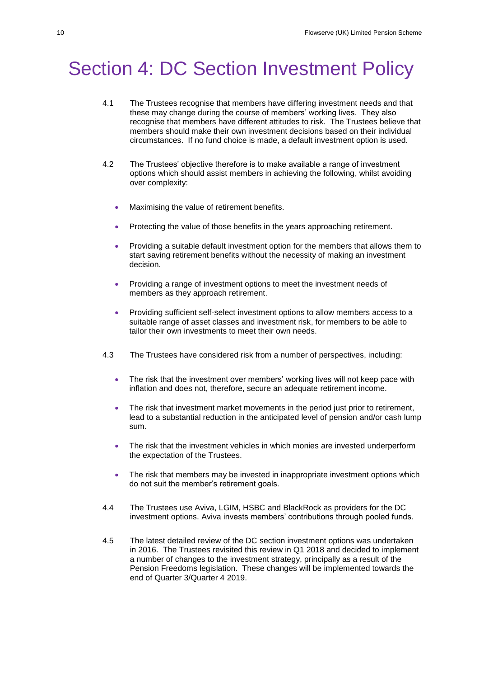## Section 4: DC Section Investment Policy

- 4.1 The Trustees recognise that members have differing investment needs and that these may change during the course of members' working lives. They also recognise that members have different attitudes to risk. The Trustees believe that members should make their own investment decisions based on their individual circumstances. If no fund choice is made, a default investment option is used.
- 4.2 The Trustees' objective therefore is to make available a range of investment options which should assist members in achieving the following, whilst avoiding over complexity:
	- Maximising the value of retirement benefits.
	- Protecting the value of those benefits in the years approaching retirement.
	- Providing a suitable default investment option for the members that allows them to start saving retirement benefits without the necessity of making an investment decision.
	- Providing a range of investment options to meet the investment needs of members as they approach retirement.
	- Providing sufficient self-select investment options to allow members access to a suitable range of asset classes and investment risk, for members to be able to tailor their own investments to meet their own needs.
- 4.3 The Trustees have considered risk from a number of perspectives, including:
	- The risk that the investment over members' working lives will not keep pace with inflation and does not, therefore, secure an adequate retirement income.
	- The risk that investment market movements in the period just prior to retirement, lead to a substantial reduction in the anticipated level of pension and/or cash lump sum.
	- The risk that the investment vehicles in which monies are invested underperform the expectation of the Trustees.
	- The risk that members may be invested in inappropriate investment options which do not suit the member's retirement goals.
- 4.4 The Trustees use Aviva, LGIM, HSBC and BlackRock as providers for the DC investment options. Aviva invests members' contributions through pooled funds.
- 4.5 The latest detailed review of the DC section investment options was undertaken in 2016. The Trustees revisited this review in Q1 2018 and decided to implement a number of changes to the investment strategy, principally as a result of the Pension Freedoms legislation. These changes will be implemented towards the end of Quarter 3/Quarter 4 2019.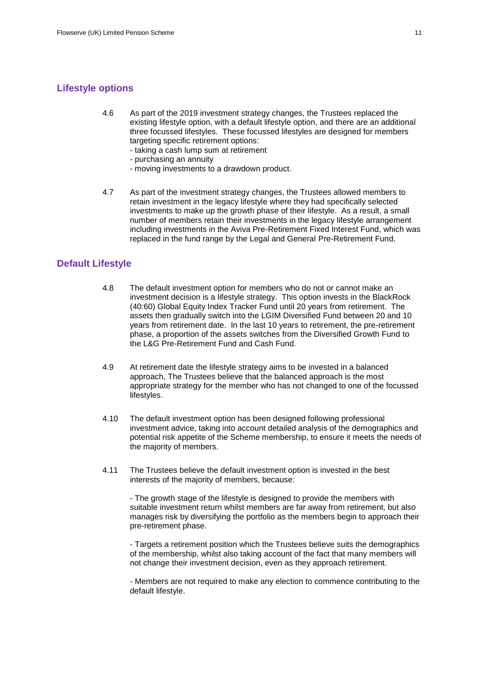## **Lifestyle options**

- 4.6 As part of the 2019 investment strategy changes, the Trustees replaced the existing lifestyle option, with a default lifestyle option, and there are an additional three focussed lifestyles. These focussed lifestyles are designed for members targeting specific retirement options:
	- taking a cash lump sum at retirement
	- purchasing an annuity
	- moving investments to a drawdown product.
- 4.7 As part of the investment strategy changes, the Trustees allowed members to retain investment in the legacy lifestyle where they had specifically selected investments to make up the growth phase of their lifestyle. As a result, a small number of members retain their investments in the legacy lifestyle arrangement including investments in the Aviva Pre-Retirement Fixed Interest Fund, which was replaced in the fund range by the Legal and General Pre-Retirement Fund.

### **Default Lifestyle**

- 4.8 The default investment option for members who do not or cannot make an investment decision is a lifestyle strategy. This option invests in the BlackRock (40:60) Global Equity Index Tracker Fund until 20 years from retirement. The assets then gradually switch into the LGIM Diversified Fund between 20 and 10 years from retirement date. In the last 10 years to retirement, the pre-retirement phase, a proportion of the assets switches from the Diversified Growth Fund to the L&G Pre-Retirement Fund and Cash Fund.
- 4.9 At retirement date the lifestyle strategy aims to be invested in a balanced approach, The Trustees believe that the balanced approach is the most appropriate strategy for the member who has not changed to one of the focussed lifestyles.
- 4.10 The default investment option has been designed following professional investment advice, taking into account detailed analysis of the demographics and potential risk appetite of the Scheme membership, to ensure it meets the needs of the majority of members.
- 4.11 The Trustees believe the default investment option is invested in the best interests of the majority of members, because:

- The growth stage of the lifestyle is designed to provide the members with suitable investment return whilst members are far away from retirement, but also manages risk by diversifying the portfolio as the members begin to approach their pre-retirement phase.

- Targets a retirement position which the Trustees believe suits the demographics of the membership, whilst also taking account of the fact that many members will not change their investment decision, even as they approach retirement.

- Members are not required to make any election to commence contributing to the default lifestyle.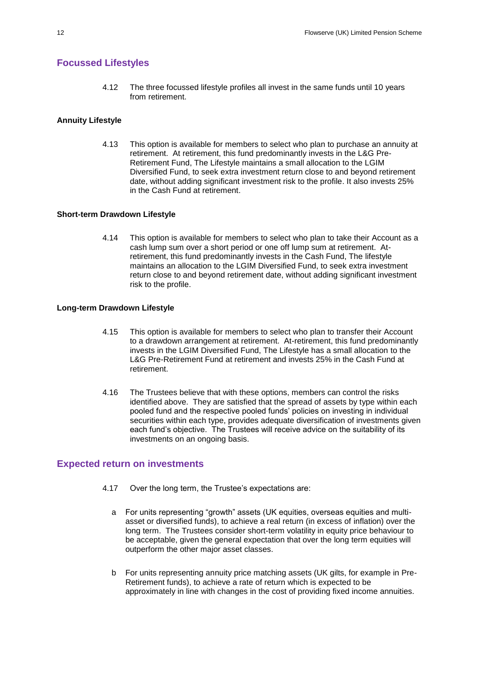## **Focussed Lifestyles**

4.12 The three focussed lifestyle profiles all invest in the same funds until 10 years from retirement.

### **Annuity Lifestyle**

4.13 This option is available for members to select who plan to purchase an annuity at retirement. At retirement, this fund predominantly invests in the L&G Pre-Retirement Fund, The Lifestyle maintains a small allocation to the LGIM Diversified Fund, to seek extra investment return close to and beyond retirement date, without adding significant investment risk to the profile. It also invests 25% in the Cash Fund at retirement.

#### **Short-term Drawdown Lifestyle**

4.14 This option is available for members to select who plan to take their Account as a cash lump sum over a short period or one off lump sum at retirement. Atretirement, this fund predominantly invests in the Cash Fund, The lifestyle maintains an allocation to the LGIM Diversified Fund, to seek extra investment return close to and beyond retirement date, without adding significant investment risk to the profile.

#### **Long-term Drawdown Lifestyle**

- 4.15 This option is available for members to select who plan to transfer their Account to a drawdown arrangement at retirement. At-retirement, this fund predominantly invests in the LGIM Diversified Fund, The Lifestyle has a small allocation to the L&G Pre-Retirement Fund at retirement and invests 25% in the Cash Fund at retirement.
- 4.16 The Trustees believe that with these options, members can control the risks identified above. They are satisfied that the spread of assets by type within each pooled fund and the respective pooled funds' policies on investing in individual securities within each type, provides adequate diversification of investments given each fund's objective. The Trustees will receive advice on the suitability of its investments on an ongoing basis.

### **Expected return on investments**

- 4.17 Over the long term, the Trustee's expectations are:
	- a For units representing "growth" assets (UK equities, overseas equities and multiasset or diversified funds), to achieve a real return (in excess of inflation) over the long term. The Trustees consider short-term volatility in equity price behaviour to be acceptable, given the general expectation that over the long term equities will outperform the other major asset classes.
	- b For units representing annuity price matching assets (UK gilts, for example in Pre-Retirement funds), to achieve a rate of return which is expected to be approximately in line with changes in the cost of providing fixed income annuities.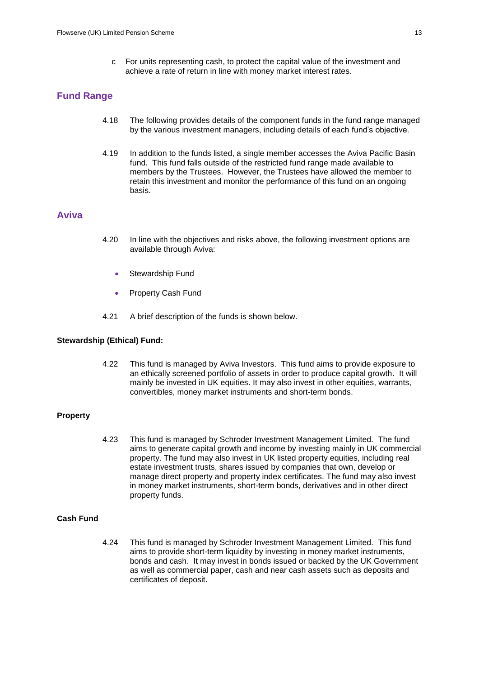c For units representing cash, to protect the capital value of the investment and achieve a rate of return in line with money market interest rates.

### **Fund Range**

- 4.18 The following provides details of the component funds in the fund range managed by the various investment managers, including details of each fund's objective.
- 4.19 In addition to the funds listed, a single member accesses the Aviva Pacific Basin fund. This fund falls outside of the restricted fund range made available to members by the Trustees. However, the Trustees have allowed the member to retain this investment and monitor the performance of this fund on an ongoing basis.

### **Aviva**

- 4.20 In line with the objectives and risks above, the following investment options are available through Aviva:
	- Stewardship Fund
	- Property Cash Fund
- 4.21 A brief description of the funds is shown below.

#### **Stewardship (Ethical) Fund:**

4.22 This fund is managed by Aviva Investors. This fund aims to provide exposure to an ethically screened portfolio of assets in order to produce capital growth. It will mainly be invested in UK equities. It may also invest in other equities, warrants, convertibles, money market instruments and short-term bonds.

#### **Property**

4.23 This fund is managed by Schroder Investment Management Limited. The fund aims to generate capital growth and income by investing mainly in UK commercial property. The fund may also invest in UK listed property equities, including real estate investment trusts, shares issued by companies that own, develop or manage direct property and property index certificates. The fund may also invest in money market instruments, short-term bonds, derivatives and in other direct property funds.

### **Cash Fund**

4.24 This fund is managed by Schroder Investment Management Limited. This fund aims to provide short-term liquidity by investing in money market instruments, bonds and cash. It may invest in bonds issued or backed by the UK Government as well as commercial paper, cash and near cash assets such as deposits and certificates of deposit.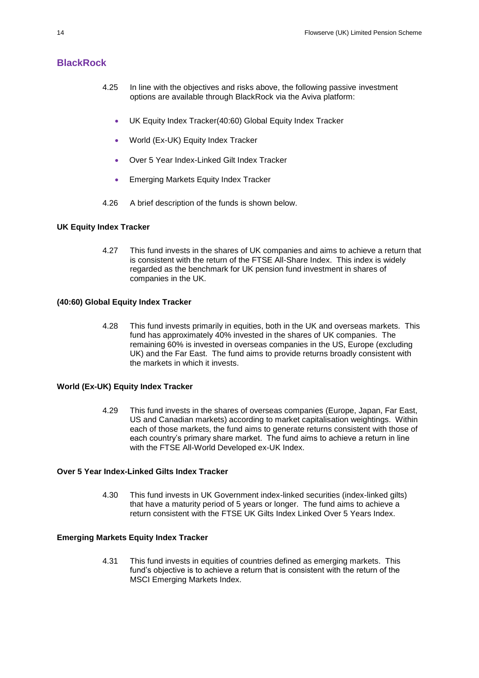## **BlackRock**

- 4.25 In line with the objectives and risks above, the following passive investment options are available through BlackRock via the Aviva platform:
	- UK Equity Index Tracker(40:60) Global Equity Index Tracker
	- World (Ex-UK) Equity Index Tracker
	- Over 5 Year Index-Linked Gilt Index Tracker
	- Emerging Markets Equity Index Tracker
- 4.26 A brief description of the funds is shown below.

#### **UK Equity Index Tracker**

4.27 This fund invests in the shares of UK companies and aims to achieve a return that is consistent with the return of the FTSE All-Share Index. This index is widely regarded as the benchmark for UK pension fund investment in shares of companies in the UK.

#### **(40:60) Global Equity Index Tracker**

4.28 This fund invests primarily in equities, both in the UK and overseas markets. This fund has approximately 40% invested in the shares of UK companies. The remaining 60% is invested in overseas companies in the US, Europe (excluding UK) and the Far East. The fund aims to provide returns broadly consistent with the markets in which it invests.

#### **World (Ex-UK) Equity Index Tracker**

4.29 This fund invests in the shares of overseas companies (Europe, Japan, Far East, US and Canadian markets) according to market capitalisation weightings. Within each of those markets, the fund aims to generate returns consistent with those of each country's primary share market. The fund aims to achieve a return in line with the FTSE All-World Developed ex-UK Index.

### **Over 5 Year Index-Linked Gilts Index Tracker**

4.30 This fund invests in UK Government index-linked securities (index-linked gilts) that have a maturity period of 5 years or longer. The fund aims to achieve a return consistent with the FTSE UK Gilts Index Linked Over 5 Years Index.

#### **Emerging Markets Equity Index Tracker**

4.31 This fund invests in equities of countries defined as emerging markets. This fund's objective is to achieve a return that is consistent with the return of the MSCI Emerging Markets Index.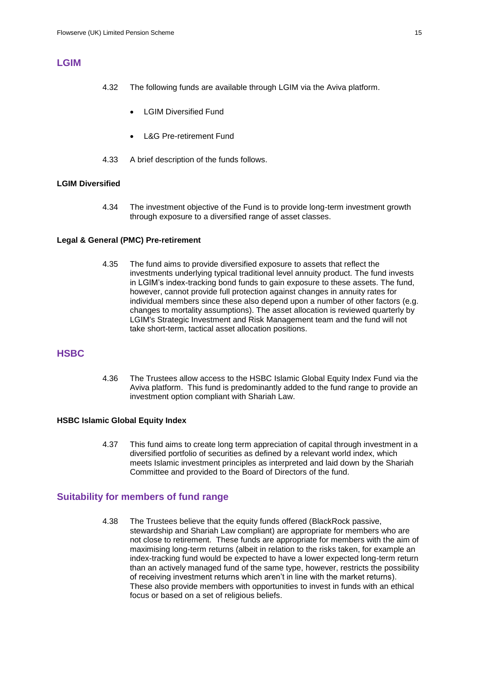## **LGIM**

- 4.32 The following funds are available through LGIM via the Aviva platform.
	- LGIM Diversified Fund
	- L&G Pre-retirement Fund
- 4.33 A brief description of the funds follows.

#### **LGIM Diversified**

4.34 The investment objective of the Fund is to provide long-term investment growth through exposure to a diversified range of asset classes.

#### **Legal & General (PMC) Pre-retirement**

4.35 The fund aims to provide diversified exposure to assets that reflect the investments underlying typical traditional level annuity product. The fund invests in LGIM's index-tracking bond funds to gain exposure to these assets. The fund, however, cannot provide full protection against changes in annuity rates for individual members since these also depend upon a number of other factors (e.g. changes to mortality assumptions). The asset allocation is reviewed quarterly by LGIM's Strategic Investment and Risk Management team and the fund will not take short-term, tactical asset allocation positions.

## **HSBC**

4.36 The Trustees allow access to the HSBC Islamic Global Equity Index Fund via the Aviva platform. This fund is predominantly added to the fund range to provide an investment option compliant with Shariah Law.

#### **HSBC Islamic Global Equity Index**

4.37 This fund aims to create long term appreciation of capital through investment in a diversified portfolio of securities as defined by a relevant world index, which meets Islamic investment principles as interpreted and laid down by the Shariah Committee and provided to the Board of Directors of the fund.

#### **Suitability for members of fund range**

4.38 The Trustees believe that the equity funds offered (BlackRock passive, stewardship and Shariah Law compliant) are appropriate for members who are not close to retirement. These funds are appropriate for members with the aim of maximising long-term returns (albeit in relation to the risks taken, for example an index-tracking fund would be expected to have a lower expected long-term return than an actively managed fund of the same type, however, restricts the possibility of receiving investment returns which aren't in line with the market returns). These also provide members with opportunities to invest in funds with an ethical focus or based on a set of religious beliefs.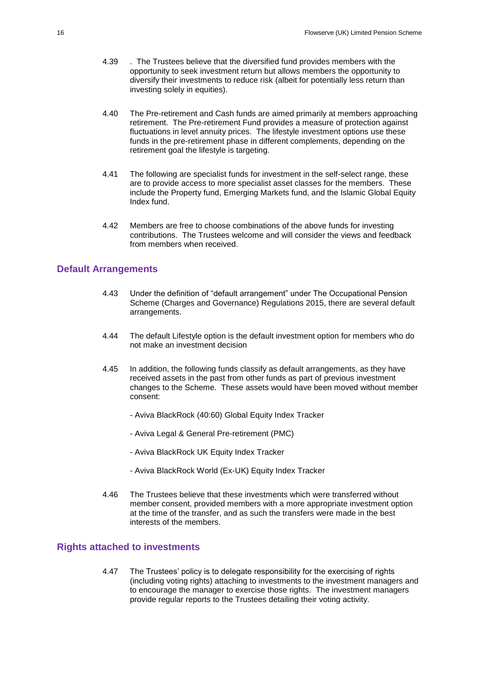- 4.39 . The Trustees believe that the diversified fund provides members with the opportunity to seek investment return but allows members the opportunity to diversify their investments to reduce risk (albeit for potentially less return than investing solely in equities).
- 4.40 The Pre-retirement and Cash funds are aimed primarily at members approaching retirement. The Pre-retirement Fund provides a measure of protection against fluctuations in level annuity prices. The lifestyle investment options use these funds in the pre-retirement phase in different complements, depending on the retirement goal the lifestyle is targeting.
- 4.41 The following are specialist funds for investment in the self-select range, these are to provide access to more specialist asset classes for the members. These include the Property fund, Emerging Markets fund, and the Islamic Global Equity Index fund.
- 4.42 Members are free to choose combinations of the above funds for investing contributions. The Trustees welcome and will consider the views and feedback from members when received.

### **Default Arrangements**

- 4.43 Under the definition of "default arrangement" under The Occupational Pension Scheme (Charges and Governance) Regulations 2015, there are several default arrangements.
- 4.44 The default Lifestyle option is the default investment option for members who do not make an investment decision
- 4.45 In addition, the following funds classify as default arrangements, as they have received assets in the past from other funds as part of previous investment changes to the Scheme. These assets would have been moved without member consent:
	- Aviva BlackRock (40:60) Global Equity Index Tracker
	- Aviva Legal & General Pre-retirement (PMC)
	- Aviva BlackRock UK Equity Index Tracker
	- Aviva BlackRock World (Ex-UK) Equity Index Tracker
- 4.46 The Trustees believe that these investments which were transferred without member consent, provided members with a more appropriate investment option at the time of the transfer, and as such the transfers were made in the best interests of the members.

### **Rights attached to investments**

4.47 The Trustees' policy is to delegate responsibility for the exercising of rights (including voting rights) attaching to investments to the investment managers and to encourage the manager to exercise those rights. The investment managers provide regular reports to the Trustees detailing their voting activity.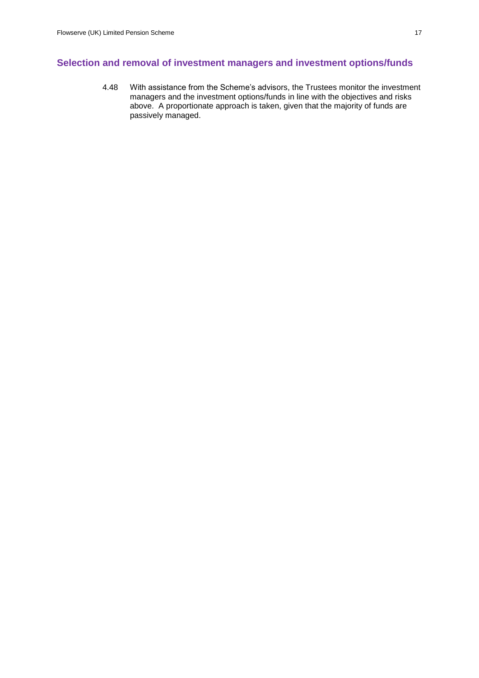## **Selection and removal of investment managers and investment options/funds**

4.48 With assistance from the Scheme's advisors, the Trustees monitor the investment managers and the investment options/funds in line with the objectives and risks above. A proportionate approach is taken, given that the majority of funds are passively managed.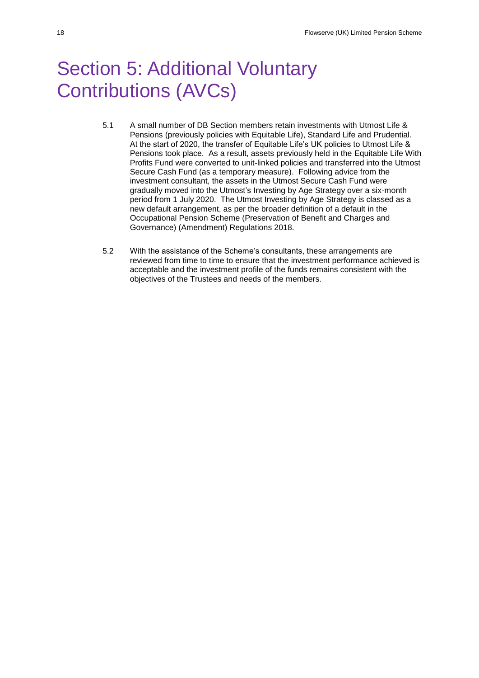# Section 5: Additional Voluntary Contributions (AVCs)

- 5.1 A small number of DB Section members retain investments with Utmost Life & Pensions (previously policies with Equitable Life), Standard Life and Prudential. At the start of 2020, the transfer of Equitable Life's UK policies to Utmost Life & Pensions took place. As a result, assets previously held in the Equitable Life With Profits Fund were converted to unit-linked policies and transferred into the Utmost Secure Cash Fund (as a temporary measure). Following advice from the investment consultant, the assets in the Utmost Secure Cash Fund were gradually moved into the Utmost's Investing by Age Strategy over a six-month period from 1 July 2020. The Utmost Investing by Age Strategy is classed as a new default arrangement, as per the broader definition of a default in the Occupational Pension Scheme (Preservation of Benefit and Charges and Governance) (Amendment) Regulations 2018.
- 5.2 With the assistance of the Scheme's consultants, these arrangements are reviewed from time to time to ensure that the investment performance achieved is acceptable and the investment profile of the funds remains consistent with the objectives of the Trustees and needs of the members.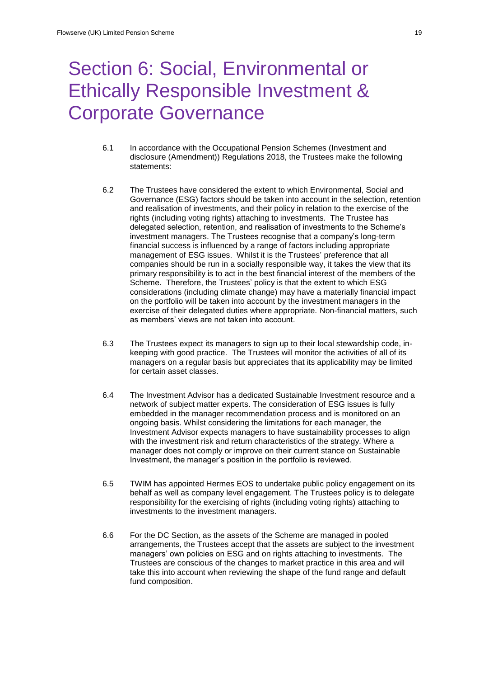## Section 6: Social, Environmental or Ethically Responsible Investment & Corporate Governance

- 6.1 In accordance with the Occupational Pension Schemes (Investment and disclosure (Amendment)) Regulations 2018, the Trustees make the following statements:
- 6.2 The Trustees have considered the extent to which Environmental, Social and Governance (ESG) factors should be taken into account in the selection, retention and realisation of investments, and their policy in relation to the exercise of the rights (including voting rights) attaching to investments. The Trustee has delegated selection, retention, and realisation of investments to the Scheme's investment managers. The Trustees recognise that a company's long-term financial success is influenced by a range of factors including appropriate management of ESG issues. Whilst it is the Trustees' preference that all companies should be run in a socially responsible way, it takes the view that its primary responsibility is to act in the best financial interest of the members of the Scheme. Therefore, the Trustees' policy is that the extent to which ESG considerations (including climate change) may have a materially financial impact on the portfolio will be taken into account by the investment managers in the exercise of their delegated duties where appropriate. Non-financial matters, such as members' views are not taken into account.
- 6.3 The Trustees expect its managers to sign up to their local stewardship code, inkeeping with good practice. The Trustees will monitor the activities of all of its managers on a regular basis but appreciates that its applicability may be limited for certain asset classes.
- 6.4 The Investment Advisor has a dedicated Sustainable Investment resource and a network of subject matter experts. The consideration of ESG issues is fully embedded in the manager recommendation process and is monitored on an ongoing basis. Whilst considering the limitations for each manager, the Investment Advisor expects managers to have sustainability processes to align with the investment risk and return characteristics of the strategy. Where a manager does not comply or improve on their current stance on Sustainable Investment, the manager's position in the portfolio is reviewed.
- 6.5 TWIM has appointed Hermes EOS to undertake public policy engagement on its behalf as well as company level engagement. The Trustees policy is to delegate responsibility for the exercising of rights (including voting rights) attaching to investments to the investment managers.
- 6.6 For the DC Section, as the assets of the Scheme are managed in pooled arrangements, the Trustees accept that the assets are subject to the investment managers' own policies on ESG and on rights attaching to investments. The Trustees are conscious of the changes to market practice in this area and will take this into account when reviewing the shape of the fund range and default fund composition.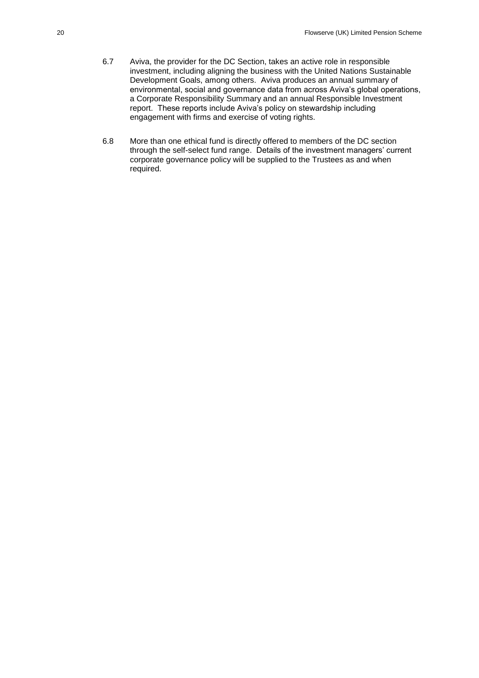- 6.7 Aviva, the provider for the DC Section, takes an active role in responsible investment, including aligning the business with the United Nations Sustainable Development Goals, among others. Aviva produces an annual summary of environmental, social and governance data from across Aviva's global operations, a Corporate Responsibility Summary and an annual Responsible Investment report. These reports include Aviva's policy on stewardship including engagement with firms and exercise of voting rights.
- 6.8 More than one ethical fund is directly offered to members of the DC section through the self-select fund range. Details of the investment managers' current corporate governance policy will be supplied to the Trustees as and when required.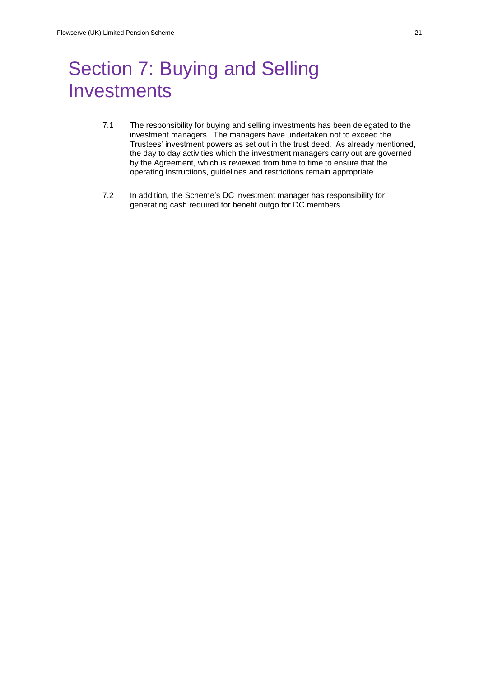## Section 7: Buying and Selling **Investments**

- 7.1 The responsibility for buying and selling investments has been delegated to the investment managers. The managers have undertaken not to exceed the Trustees' investment powers as set out in the trust deed. As already mentioned, the day to day activities which the investment managers carry out are governed by the Agreement, which is reviewed from time to time to ensure that the operating instructions, guidelines and restrictions remain appropriate.
- 7.2 In addition, the Scheme's DC investment manager has responsibility for generating cash required for benefit outgo for DC members.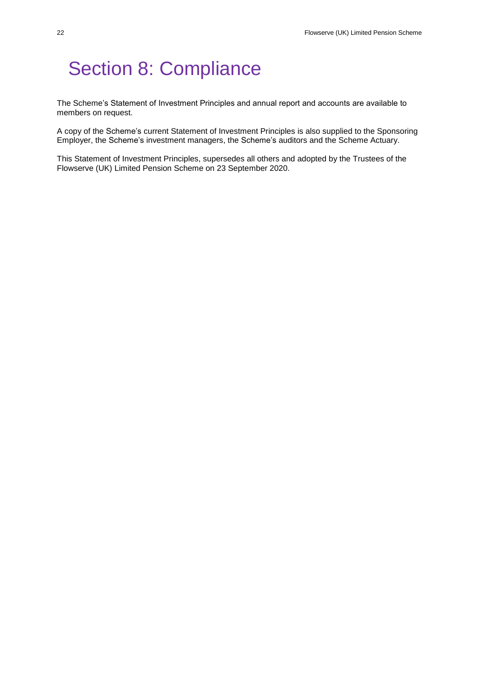## Section 8: Compliance

The Scheme's Statement of Investment Principles and annual report and accounts are available to members on request.

A copy of the Scheme's current Statement of Investment Principles is also supplied to the Sponsoring Employer, the Scheme's investment managers, the Scheme's auditors and the Scheme Actuary.

This Statement of Investment Principles, supersedes all others and adopted by the Trustees of the Flowserve (UK) Limited Pension Scheme on 23 September 2020.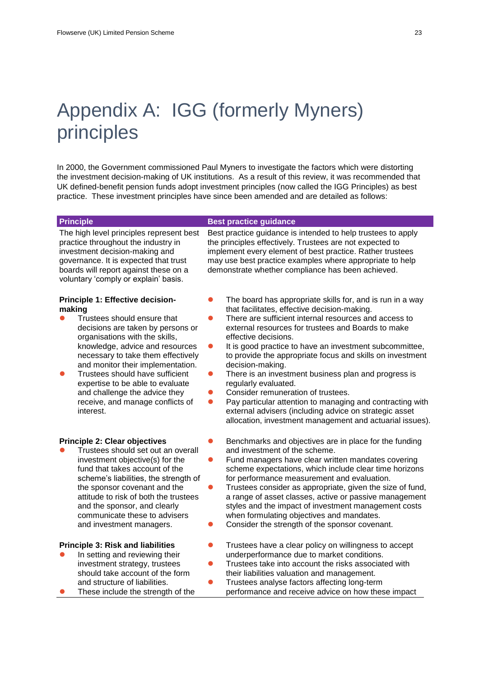# Appendix A: IGG (formerly Myners) principles

In 2000, the Government commissioned Paul Myners to investigate the factors which were distorting the investment decision-making of UK institutions. As a result of this review, it was recommended that UK defined-benefit pension funds adopt investment principles (now called the IGG Principles) as best practice. These investment principles have since been amended and are detailed as follows:

#### **Principle Best practice guidance** The high level principles represent best Best practice guidance is intended to help trustees to apply the principles effectively. Trustees are not expected to

practice throughout the industry in investment decision-making and governance. It is expected that trust boards will report against these on a voluntary 'comply or explain' basis.

#### **Principle 1: Effective decisionmaking**

- Trustees should ensure that decisions are taken by persons or organisations with the skills, knowledge, advice and resources necessary to take them effectively and monitor their implementation.
- Trustees should have sufficient expertise to be able to evaluate and challenge the advice they receive, and manage conflicts of interest.

#### **Principle 2: Clear objectives**

 Trustees should set out an overall investment objective(s) for the fund that takes account of the scheme's liabilities, the strength of the sponsor covenant and the attitude to risk of both the trustees and the sponsor, and clearly communicate these to advisers and investment managers.

#### **Principle 3: Risk and liabilities**

- In setting and reviewing their investment strategy, trustees should take account of the form and structure of liabilities.
- These include the strength of the

may use best practice examples where appropriate to help demonstrate whether compliance has been achieved.

implement every element of best practice. Rather trustees

- The board has appropriate skills for, and is run in a way that facilitates, effective decision-making.
- There are sufficient internal resources and access to external resources for trustees and Boards to make effective decisions.
- It is good practice to have an investment subcommittee, to provide the appropriate focus and skills on investment decision-making.
- There is an investment business plan and progress is regularly evaluated.
- Consider remuneration of trustees.
- Pay particular attention to managing and contracting with external advisers (including advice on strategic asset allocation, investment management and actuarial issues).
- Benchmarks and objectives are in place for the funding and investment of the scheme.
- Fund managers have clear written mandates covering scheme expectations, which include clear time horizons for performance measurement and evaluation.
- Trustees consider as appropriate, given the size of fund, a range of asset classes, active or passive management styles and the impact of investment management costs when formulating objectives and mandates.
- Consider the strength of the sponsor covenant.
- Trustees have a clear policy on willingness to accept underperformance due to market conditions.
- Trustees take into account the risks associated with their liabilities valuation and management.
- Trustees analyse factors affecting long-term
- performance and receive advice on how these impact